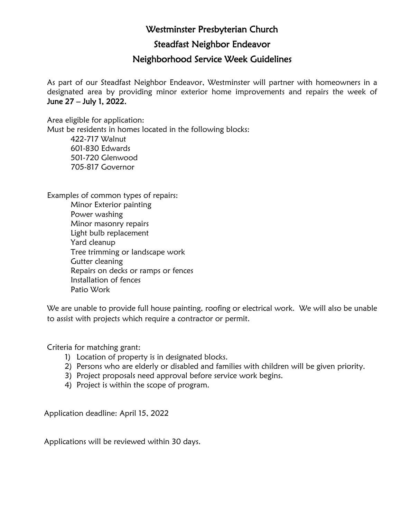## Westminster Presbyterian Church

Steadfast Neighbor Endeavor

## Neighborhood Service Week Guidelines

As part of our Steadfast Neighbor Endeavor, Westminster will partner with homeowners in a designated area by providing minor exterior home improvements and repairs the week of June 27 – July 1, 2022.

Area eligible for application: Must be residents in homes located in the following blocks: 422-717 Walnut 601-830 Edwards 501-720 Glenwood 705-817 Governor

Examples of common types of repairs: Minor Exterior painting Power washing Minor masonry repairs Light bulb replacement Yard cleanup Tree trimming or landscape work Gutter cleaning Repairs on decks or ramps or fences Installation of fences Patio Work

We are unable to provide full house painting, roofing or electrical work. We will also be unable to assist with projects which require a contractor or permit.

Criteria for matching grant:

- 1) Location of property is in designated blocks.
- 2) Persons who are elderly or disabled and families with children will be given priority.
- 3) Project proposals need approval before service work begins.
- 4) Project is within the scope of program.

Application deadline: April 15, 2022

Applications will be reviewed within 30 days.